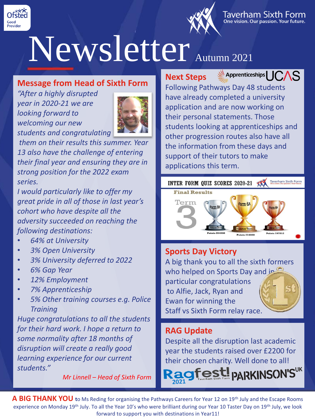



#### Taverham Sixth Form One vision. Our passion. Your future.

# Newsletter Autumn 2021

# **Message from Head of Sixth Form**

*"After a highly disrupted year in 2020-21 we are looking forward to welcoming our new students and congratulating*



*them on their results this summer. Year 13 also have the challenge of entering their final year and ensuring they are in strong position for the 2022 exam series.* 

*I would particularly like to offer my great pride in all of those in last year's cohort who have despite all the adversity succeeded on reaching the following destinations:*

- *64% at University*
- *3% Open University*
- *3% University deferred to 2022*
- *6% Gap Year*
- *12% Employment*
- *7% Apprenticeship*
- *5% Other training courses e.g. Police Training*

*Huge congratulations to all the students for their hard work. I hope a return to some normality after 18 months of disruption will create a really good learning experience for our current students."* 

*Mr Linnell – Head of Sixth Form*

# **Next Steps**



Following Pathways Day 48 students have already completed a university application and are now working on their personal statements. Those students looking at apprenticeships and other progression routes also have all the information from these days and support of their tutors to make applications this term.



## **Sports Day Victory**

A big thank you to all the sixth formers who helped on Sports Day and in particular congratulations to Alfie, Jack, Ryan and Ewan for winning the Staff vs Sixth Form relay race.

## **RAG Update**

Despite all the disruption last academic year the students raised over £2200 for their chosen charity. Well done to all!

**agfest PARKINSON** 

**A BIG THANK YOU t**o Ms Reding for organising the Pathways Careers for Year 12 on 19th July and the Escape Rooms experience on Monday 19<sup>th</sup> July. To all the Year 10's who were brilliant during our Year 10 Taster Day on 19<sup>th</sup> July, we look forward to support you with destinations in Year11!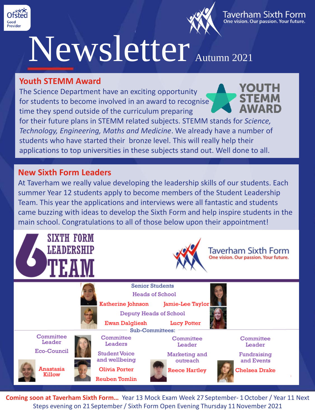



# Newsletter Autumn 2021

#### **Youth STEMM Award**

The Science Department have an exciting opportunity for students to become involved in an award to recognise time they spend outside of the curriculum preparing

for their future plans in STEMM related subjects. STEMM stands for *Science, Technology, Engineering, Maths and Medicine*. We already have a number of students who have started their bronze level. This will really help their applications to top universities in these subjects stand out. Well done to all.

## **New Sixth Form Leaders**

At Taverham we really value developing the leadership skills of our students. Each summer Year 12 students apply to become members of the Student Leadership Team. This year the applications and interviews were all fantastic and students came buzzing with ideas to develop the Sixth Form and help inspire students in the main school. Congratulations to all of those below upon their appointment!



**Coming soon at Taverham Sixth Form…** Year 13 Mock Exam Week 27 September- 1October / Year 11 Next Steps evening on 21 September / Sixth Form Open Evening Thursday 11November 2021